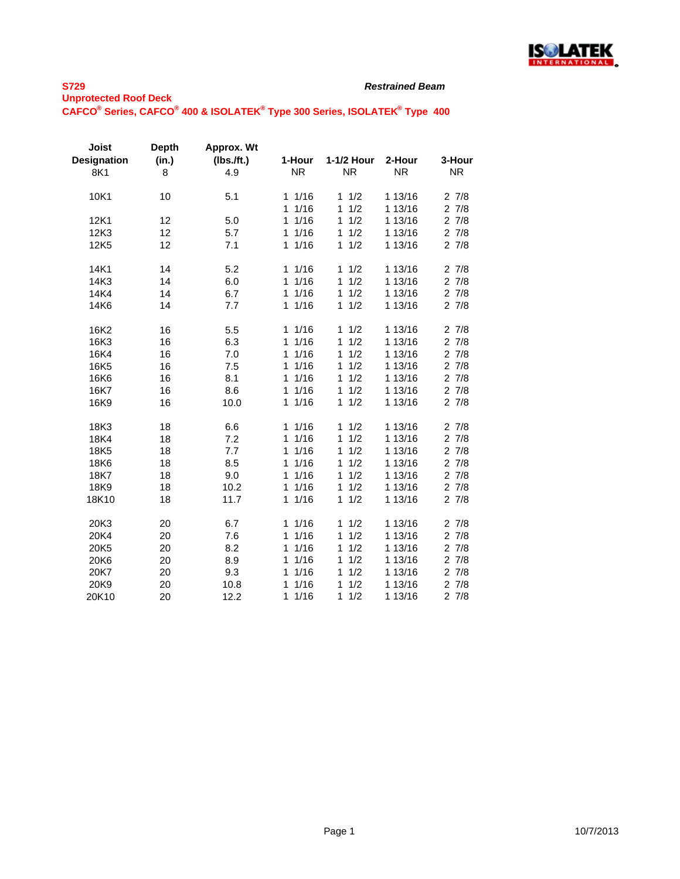

| <b>Joist</b><br><b>Designation</b><br>8K1 | Depth<br>(in.)<br>8 | Approx. Wt<br>$(lbs.$ /ft.)<br>4.9 | 1-Hour<br><b>NR</b>  | 1-1/2 Hour<br><b>NR</b> | 2-Hour<br><b>NR</b> | 3-Hour<br><b>NR</b> |
|-------------------------------------------|---------------------|------------------------------------|----------------------|-------------------------|---------------------|---------------------|
|                                           |                     |                                    |                      |                         |                     |                     |
| 10K1                                      | 10                  | 5.1                                | 1/16<br>1            | 1/2<br>1                | 1 13/16             | 27/8                |
|                                           |                     |                                    | 1/16<br>1            | 1/2<br>1                | 1 13/16             | 27/8                |
| 12K1                                      | 12                  | 5.0                                | 1/16<br>$\mathbf{1}$ | 1/2<br>1                | 1 13/16             | 27/8                |
| 12K3                                      | 12                  | 5.7                                | 11/16                | 1/2<br>1                | 1 13/16             | 27/8                |
| 12K5                                      | 12                  | 7.1                                | 1/16<br>1            | 1<br>1/2                | 1 13/16             | 27/8                |
| 14K1                                      | 14                  | 5.2                                | 1/16<br>1            | 1/2<br>1                | 1 13/16             | 27/8                |
| 14K3                                      | 14                  | 6.0                                | 1/16<br>1            | 1/2<br>1                | 1 13/16             | 27/8                |
| 14K4                                      | 14                  | 6.7                                | 1/16<br>$\mathbf{1}$ | 1/2<br>1                | 1 13/16             | 27/8                |
| 14K6                                      | 14                  | 7.7                                | 1/16<br>1            | 1/2<br>$\mathbf{1}$     | 1 13/16             | 27/8                |
| 16K2                                      | 16                  | 5.5                                | 11/16                | 1/2<br>1                | 1 13/16             | 27/8                |
| 16K3                                      | 16                  | 6.3                                | 1/16<br>$\mathbf{1}$ | 1/2<br>1                | 1 13/16             | 27/8                |
| 16K4                                      | 16                  | 7.0                                | 1/16<br>1            | 1/2<br>1                | 1 13/16             | 27/8                |
| 16K5                                      | 16                  | 7.5                                | 1/16<br>1            | 1/2<br>1                | 1 13/16             | 27/8                |
| 16K6                                      | 16                  | 8.1                                | 1/16<br>1            | 1<br>1/2                | 1 13/16             | 27/8                |
| 16K7                                      | 16                  | 8.6                                | 1/16<br>$\mathbf{1}$ | 1/2<br>1                | 1 13/16             | 27/8                |
| 16K9                                      | 16                  | 10.0                               | 1/16<br>$\mathbf{1}$ | 1/2<br>1                | 1 13/16             | 27/8                |
| 18K3                                      | 18                  | 6.6                                | 11/16                | 1/2<br>1                | 1 13/16             | 27/8                |
| 18K4                                      | 18                  | 7.2                                | 1/16<br>1            | 1/2<br>1                | 1 13/16             | 27/8                |
| 18K5                                      | 18                  | 7.7                                | 1/16<br>1            | 1/2<br>1                | 1 13/16             | 27/8                |
| 18K6                                      | 18                  | 8.5                                | 1/16<br>1            | 1/2<br>1                | 1 13/16             | 27/8                |
| 18K7                                      | 18                  | 9.0                                | 1/16<br>1            | 1/2<br>1                | 1 13/16             | 27/8                |
| 18K9                                      | 18                  | 10.2                               | 1/16<br>1            | 1/2<br>1                | 1 13/16             | 27/8                |
| 18K10                                     | 18                  | 11.7                               | 1/16<br>1            | 1/2<br>$\mathbf{1}$     | 1 13/16             | 27/8                |
| 20K3                                      | 20                  | 6.7                                | 1/16<br>1            | $\mathbf{1}$<br>1/2     | 1 13/16             | 27/8                |
| 20K4                                      | 20                  | 7.6                                | 1/16<br>1            | 1/2<br>1                | 1 13/16             | 27/8                |
| 20K5                                      | 20                  | 8.2                                | 1/16<br>1            | 1/2<br>1                | 1 13/16             | 27/8                |
| 20K6                                      | 20                  | 8.9                                | 1/16<br>1            | 1/2<br>1                | 1 13/16             | 27/8                |
| 20K7                                      | 20                  | 9.3                                | 1/16<br>1            | 1/2<br>1                | 1 13/16             | 27/8                |
| 20K9                                      | 20                  | 10.8                               | 1/16<br>1            | 1/2<br>1                | 1 13/16             | 27/8                |
| 20K10                                     | 20                  | 12.2                               | 1/16<br>1            | 1/2<br>1                | 1 13/16             | 27/8                |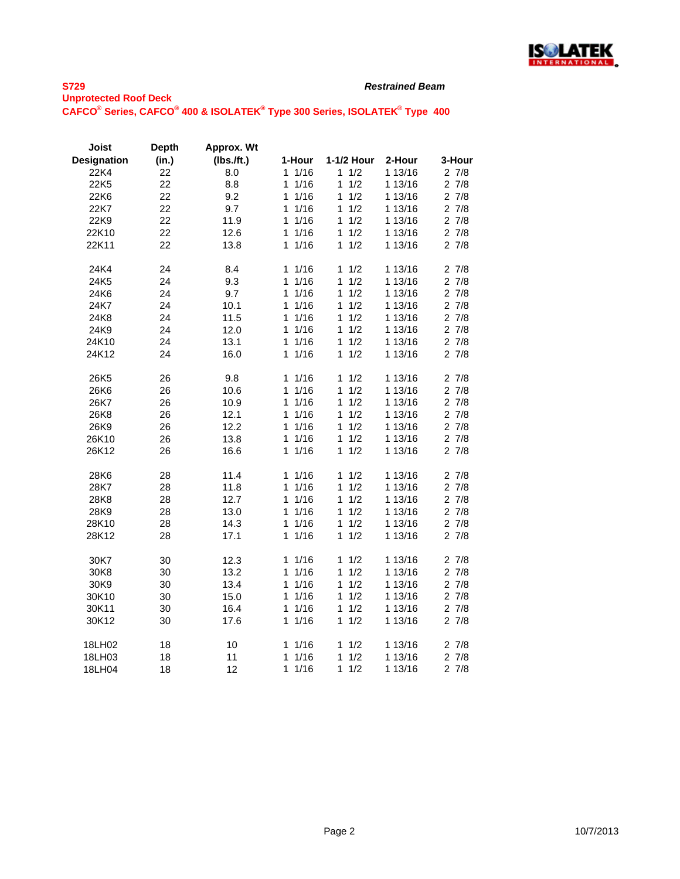

| Joist              | <b>Depth</b> | Approx. Wt |                      |            |         |           |
|--------------------|--------------|------------|----------------------|------------|---------|-----------|
| <b>Designation</b> | (in.)        | (Ibs.ft.)  | 1-Hour               | 1-1/2 Hour | 2-Hour  | 3-Hour    |
| 22K4               | 22           | 8.0        | 1/16<br>1            | 1<br>1/2   | 1 13/16 | 27/8      |
| 22K5               | 22           | 8.8        | 1/16<br>1            | 1/2<br>1   | 1 13/16 | 27/8      |
| 22K6               | 22           | 9.2        | 1/16<br>1            | 1/2<br>1   | 1 13/16 | 27/8      |
| 22K7               | 22           | 9.7        | 1/16<br>1            | 1/2<br>1   | 1 13/16 | 27/8      |
| 22K9               | 22           | 11.9       | 1/16<br>1            | 1/2<br>1   | 1 13/16 | 27/8      |
| 22K10              | 22           | 12.6       | 1/16<br>1            | 1/2<br>1   | 1 13/16 | 27/8      |
| 22K11              | 22           | 13.8       | 1/16<br>1            | 1/2<br>1   | 1 13/16 | 27/8      |
|                    |              |            |                      |            |         |           |
| 24K4               | 24           | 8.4        | 11/16                | 1/2<br>1   | 1 13/16 | 27/8      |
| 24K5               | 24           | 9.3        | 1<br>1/16            | 1/2<br>1   | 1 13/16 | 27/8      |
| 24K6               | 24           | 9.7        | 1/16<br>1            | 1/2<br>1   | 1 13/16 | 27/8      |
| 24K7               | 24           | 10.1       | 1/16<br>1            | 1/2<br>1   | 1 13/16 | 27/8      |
| 24K8               | 24           | 11.5       | 1/16<br>1            | 1/2<br>1   | 1 13/16 | 27/8      |
| 24K9               | 24           | 12.0       | 1/16<br>1            | 1/2<br>1   | 1 13/16 | 27/8      |
| 24K10              | 24           | 13.1       | 1/16<br>1            | 1<br>1/2   | 1 13/16 | 27/8      |
| 24K12              | 24           | 16.0       | 1/16<br>$\mathbf{1}$ | 1/2<br>1   | 1 13/16 | 27/8      |
|                    |              |            |                      |            |         |           |
| 26K5               | 26           | 9.8        | 1/16<br>1            | 1/2<br>1   | 1 13/16 | 27/8      |
| 26K6               | 26           | 10.6       | $\mathbf{1}$<br>1/16 | 1<br>1/2   | 1 13/16 | 27/8      |
| 26K7               | 26           | 10.9       | 1<br>1/16            | 1/2<br>1   | 1 13/16 | 27/8      |
| 26K8               | 26           | 12.1       | 1/16<br>1            | 1/2<br>1   | 1 13/16 | 27/8      |
| 26K9               | 26           | 12.2       | 1/16<br>1            | 1<br>1/2   | 1 13/16 | $2 \t7/8$ |
| 26K10              | 26           | 13.8       | $\mathbf{1}$<br>1/16 | 1<br>1/2   | 1 13/16 | $2 \t7/8$ |
| 26K12              | 26           | 16.6       | 1/16<br>1            | 1/2<br>1   | 1 13/16 | 27/8      |
|                    |              |            |                      |            |         |           |
| 28K6               | 28           | 11.4       | 11/16                | 1/2<br>1   | 1 13/16 | 27/8      |
| 28K7               | 28           | 11.8       | 1<br>1/16            | 1/2<br>1   | 1 13/16 | 27/8      |
| 28K8               | 28           | 12.7       | 1/16<br>1            | 1/2<br>1   | 1 13/16 | 27/8      |
| 28K9               | 28           | 13.0       | 1/16<br>1            | 1/2<br>1   | 1 13/16 | $2 \t7/8$ |
| 28K10              | 28           | 14.3       | 1<br>1/16            | 1<br>1/2   | 1 13/16 | 27/8      |
| 28K12              | 28           | 17.1       | 1/16<br>1            | 1/2<br>1   | 1 13/16 | 27/8      |
|                    |              |            |                      |            |         |           |
| 30K7               | 30           | 12.3       | 11/16                | 1/2<br>1   | 1 13/16 | 27/8      |
| 30K8               | 30           | 13.2       | 1/16<br>1            | 1/2<br>1   | 1 13/16 | 27/8      |
| 30K9               | 30           | 13.4       | 1<br>1/16            | 1/2<br>1   | 1 13/16 | 27/8      |
| 30K10              | 30           | 15.0       | 1/16<br>1            | 1/2<br>1   | 1 13/16 | $2 \t7/8$ |
| 30K11              | 30           | 16.4       | 1/16<br>1            | 1/2<br>1   | 1 13/16 | 27/8      |
| 30K12              | 30           | 17.6       | 1/16<br>1            | 1/2<br>1   | 1 13/16 | 27/8      |
| 18LH02             | 18           | 10         | 1<br>1/16            | 1/2<br>1   | 1 13/16 | 27/8      |
| 18LH03             | 18           | 11         | 1/16<br>1            | 1/2<br>1   | 1 13/16 | 27/8      |
| 18LH04             | 18           | 12         | 1/16<br>1            | 1<br>1/2   | 1 13/16 | 27/8      |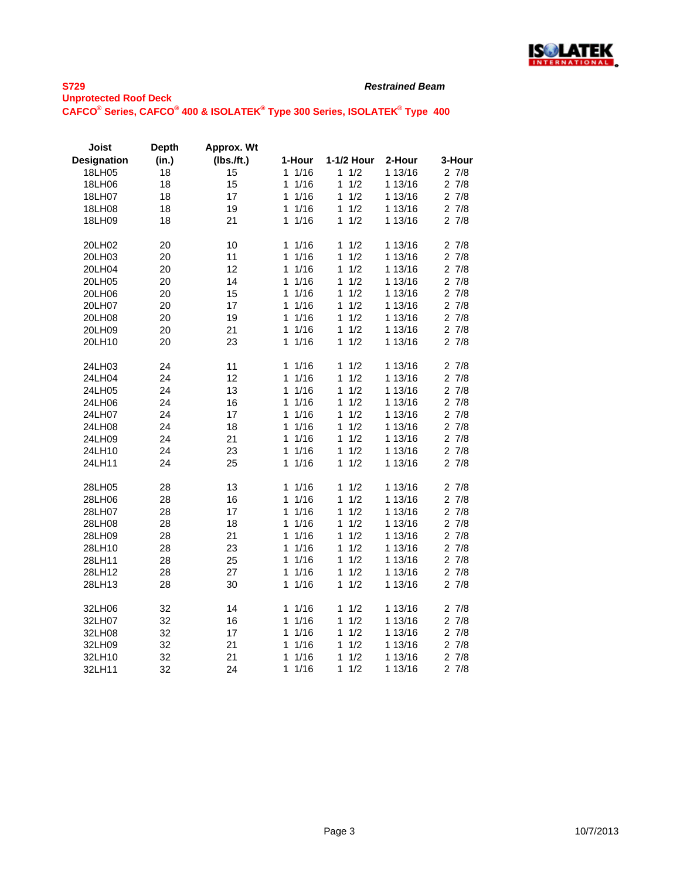

| <b>Joist</b>       | <b>Depth</b> | Approx. Wt    |           |            |         |        |
|--------------------|--------------|---------------|-----------|------------|---------|--------|
| <b>Designation</b> | (in.)        | $(Ibs.$ /ft.) | 1-Hour    | 1-1/2 Hour | 2-Hour  | 3-Hour |
| 18LH05             | 18           | 15            | 1/16<br>1 | 1/2<br>1.  | 1 13/16 | 27/8   |
| 18LH06             | 18           | 15            | 1/16<br>1 | 1/2<br>1   | 1 13/16 | 27/8   |
| 18LH07             | 18           | 17            | 1/16<br>1 | 1<br>1/2   | 1 13/16 | 27/8   |
| 18LH08             | 18           | 19            | 1/16<br>1 | 1/2<br>1   | 1 13/16 | 27/8   |
| 18LH09             | 18           | 21            | 1/16<br>1 | 1/2<br>1   | 1 13/16 | 27/8   |
| 20LH02             | 20           | 10            | 1/16<br>1 | 1<br>1/2   | 1 13/16 | 27/8   |
| 20LH03             | 20           | 11            | 1/16<br>1 | 1<br>1/2   | 1 13/16 | 27/8   |
| 20LH04             | 20           | 12            | 1/16<br>1 | 1<br>1/2   | 1 13/16 | 27/8   |
| 20LH05             | 20           | 14            | 1/16<br>1 | 1/2<br>1   | 1 13/16 | 27/8   |
| 20LH06             | 20           | 15            | 1/16<br>1 | 1<br>1/2   | 1 13/16 | 27/8   |
| 20LH07             | 20           | 17            | 1/16<br>1 | 1/2<br>1   | 1 13/16 | 27/8   |
| 20LH08             | 20           | 19            | 1/16<br>1 | 1/2<br>1   | 1 13/16 | 27/8   |
| 20LH09             | 20           | 21            | 1<br>1/16 | 1<br>1/2   | 1 13/16 | 27/8   |
| 20LH10             | 20           | 23            | 1/16<br>1 | 1/2<br>1   | 1 13/16 | 27/8   |
| 24LH03             | 24           | 11            | 11/16     | 1<br>1/2   | 1 13/16 | 27/8   |
| 24LH04             | 24           | 12            | 1/16<br>1 | 1/2<br>1   | 1 13/16 | 27/8   |
| 24LH05             | 24           | 13            | 1/16<br>1 | 1/2<br>1   | 1 13/16 | 27/8   |
| 24LH06             | 24           | 16            | 1/16<br>1 | 1/2<br>1   | 1 13/16 | 27/8   |
| 24LH07             | 24           | 17            | 1/16<br>1 | 1/2<br>1   | 1 13/16 | 27/8   |
| 24LH08             | 24           | 18            | 1/16<br>1 | 1/2<br>1   | 1 13/16 | 27/8   |
| 24LH09             | 24           | 21            | 1/16<br>1 | 1/2<br>1   | 1 13/16 | 27/8   |
| 24LH10             | 24           | 23            | 1/16<br>1 | 1/2<br>1   | 1 13/16 | 27/8   |
| 24LH11             | 24           | 25            | 1/16<br>1 | 1<br>1/2   | 1 13/16 | 27/8   |
| 28LH05             | 28           | 13            | 1/16<br>1 | 1<br>1/2   | 1 13/16 | 27/8   |
| 28LH06             | 28           | 16            | 1/16<br>1 | 1/2<br>1   | 1 13/16 | 27/8   |
| 28LH07             | 28           | 17            | 1/16<br>1 | 1<br>1/2   | 1 13/16 | 27/8   |
| 28LH08             | 28           | 18            | 1/16<br>1 | 1/2<br>1   | 1 13/16 | 27/8   |
| 28LH09             | 28           | 21            | 1<br>1/16 | 1<br>1/2   | 1 13/16 | 27/8   |
| 28LH10             | 28           | 23            | 1/16<br>1 | 1/2<br>1   | 1 13/16 | 27/8   |
| 28LH11             | 28           | 25            | 1/16<br>1 | 1<br>1/2   | 1 13/16 | 27/8   |
| 28LH12             | 28           | 27            | 1/16<br>1 | 1<br>1/2   | 1 13/16 | 27/8   |
| 28LH13             | 28           | 30            | 1/16<br>1 | 1/2<br>1   | 1 13/16 | 27/8   |
| 32LH06             | 32           | 14            | 1/16<br>1 | 1/2<br>1   | 1 13/16 | 27/8   |
| 32LH07             | 32           | 16            | 1/16<br>1 | 1<br>1/2   | 1 13/16 | 27/8   |
| 32LH08             | 32           | 17            | 1/16<br>1 | 1/2<br>1   | 1 13/16 | 27/8   |
| 32LH09             | 32           | 21            | 1/16<br>1 | 1/2<br>1   | 1 13/16 | 27/8   |
| 32LH10             | 32           | 21            | 1/16<br>1 | 1<br>1/2   | 1 13/16 | 27/8   |
| 32LH11             | 32           | 24            | 1/16<br>1 | 1<br>1/2   | 1 13/16 | 27/8   |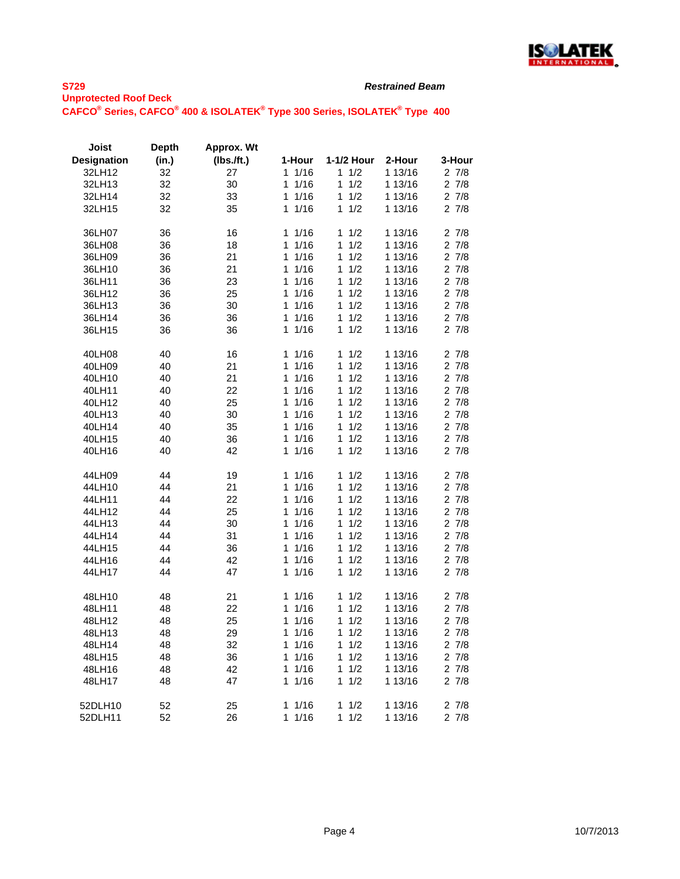

| Joist              | <b>Depth</b> | Approx. Wt |             |            |         |                       |
|--------------------|--------------|------------|-------------|------------|---------|-----------------------|
| <b>Designation</b> | (in.)        | (Ibs.ft.)  | 1-Hour      | 1-1/2 Hour | 2-Hour  | 3-Hour                |
| 32LH12             | 32           | 27         | 1<br>1/16   | 1/2<br>1   | 1 13/16 | 27/8                  |
| 32LH13             | 32           | 30         | 1<br>1/16   | 1<br>1/2   | 1 13/16 | 27/8                  |
| 32LH14             | 32           | 33         | 1<br>1/16   | 1/2<br>1   | 1 13/16 | 27/8                  |
| 32LH15             | 32           | 35         | $1/16$<br>1 | 1/2<br>1   | 1 13/16 | 27/8                  |
|                    |              |            |             |            |         |                       |
| 36LH07             | 36           | 16         | 1<br>1/16   | 1<br>1/2   | 1 13/16 | 27/8                  |
| 36LH08             | 36           | 18         | 1/16<br>1   | 1<br>1/2   | 1 13/16 | $2 \t7/8$             |
| 36LH09             | 36           | 21         | 1<br>1/16   | 1/2<br>1   | 1 13/16 | 27/8                  |
| 36LH10             | 36           | 21         | 1<br>1/16   | 1<br>1/2   | 1 13/16 | 27/8                  |
| 36LH11             | 36           | 23         | 1<br>1/16   | 1<br>1/2   | 1 13/16 | 27/8                  |
| 36LH12             | 36           | 25         | 1/16<br>1   | 1<br>1/2   | 1 13/16 | $2 \t7/8$             |
| 36LH13             | 36           | 30         | 1/16<br>1   | 1/2<br>1   | 1 13/16 | 27/8                  |
| 36LH14             | 36           | 36         | 1/16<br>1   | 1<br>1/2   | 1 13/16 | 27/8                  |
|                    |              |            | 1           | 1          |         |                       |
| 36LH15             | 36           | 36         | 1/16        | 1/2        | 1 13/16 | 27/8                  |
| 40LH08             | 40           | 16         | 1/16<br>1   | 1/2<br>1   | 1 13/16 | 27/8                  |
| 40LH09             | 40           | 21         | 1<br>1/16   | 1<br>1/2   | 1 13/16 | 27/8                  |
| 40LH10             | 40           | 21         | 1<br>1/16   | 1<br>1/2   | 1 13/16 | 27/8                  |
| 40LH11             | 40           | 22         | 1/16<br>1   | 1<br>1/2   | 1 13/16 | 27/8                  |
| 40LH12             | 40           | 25         | 1/16<br>1   | 1/2<br>1   | 1 13/16 | 27/8                  |
| 40LH13             | 40           | 30         | 1/16<br>1   | 1/2<br>1   | 1 13/16 | 27/8                  |
| 40LH14             | 40           | 35         | 1/16<br>1   | 1<br>1/2   | 1 13/16 | 27/8                  |
| 40LH15             | 40           | 36         | 1/16<br>1   | 1/2<br>1   | 1 13/16 | 27/8                  |
| 40LH16             | 40           | 42         | 1/16<br>1   | 1/2<br>1   | 1 13/16 | 27/8                  |
|                    |              |            |             |            |         |                       |
| 44LH09             | 44           | 19         | 1/16<br>1   | 1<br>1/2   | 1 13/16 | $\overline{2}$<br>7/8 |
| 44LH10             | 44           | 21         | 1/16<br>1   | 1<br>1/2   | 1 13/16 | 27/8                  |
| 44LH11             | 44           | 22         | 1/16<br>1   | 1<br>1/2   | 1 13/16 | 27/8                  |
| 44LH12             | 44           | 25         | 1/16<br>1   | 1/2<br>1   | 1 13/16 | 27/8                  |
| 44LH13             | 44           | 30         | 1/16<br>1   | 1/2<br>1   | 1 13/16 | 27/8                  |
| 44LH14             | 44           | 31         | 1<br>1/16   | 1/2<br>1   | 1 13/16 | 27/8                  |
| 44LH15             | 44           | 36         | 1<br>1/16   | 1<br>1/2   | 1 13/16 | 27/8                  |
| 44LH16             | 44           | 42         | 1/16<br>1   | 1<br>1/2   | 1 13/16 | 27/8                  |
| 44LH17             | 44           | 47         | 1<br>1/16   | 1<br>1/2   | 1 13/16 | 27/8                  |
|                    |              |            |             |            |         |                       |
| 48LH10             | 48           | 21         | 1/16<br>1   | 1<br>1/2   | 1 13/16 | 27/8                  |
| 48LH11             | 48           | 22         | 1<br>1/16   | 1<br>1/2   | 1 13/16 | 27/8                  |
| 48LH12             | 48           | 25         | 1<br>1/16   | 1<br>1/2   | 1 13/16 | $2 \t7/8$             |
| 48LH13             | 48           | 29         | 1/16<br>1   | 1<br>1/2   | 1 13/16 | 27/8                  |
| 48LH14             | 48           | 32         | 1<br>1/16   | 1<br>1/2   | 1 13/16 | 27/8                  |
| 48LH15             | 48           | 36         | 1<br>1/16   | 1<br>1/2   | 1 13/16 | 27/8                  |
| 48LH16             | 48           | 42         | 1<br>1/16   | 1<br>1/2   | 1 13/16 | 27/8                  |
| 48LH17             | 48           | 47         | 1/16<br>1   | 1/2<br>1   | 1 13/16 | 27/8                  |
|                    |              |            |             |            |         |                       |
| 52DLH10            | 52           | 25         | 1/16<br>1   | 1<br>1/2   | 1 13/16 | 27/8                  |
| 52DLH11            | 52           | 26         | 1<br>1/16   | 1<br>1/2   | 1 13/16 | 27/8                  |